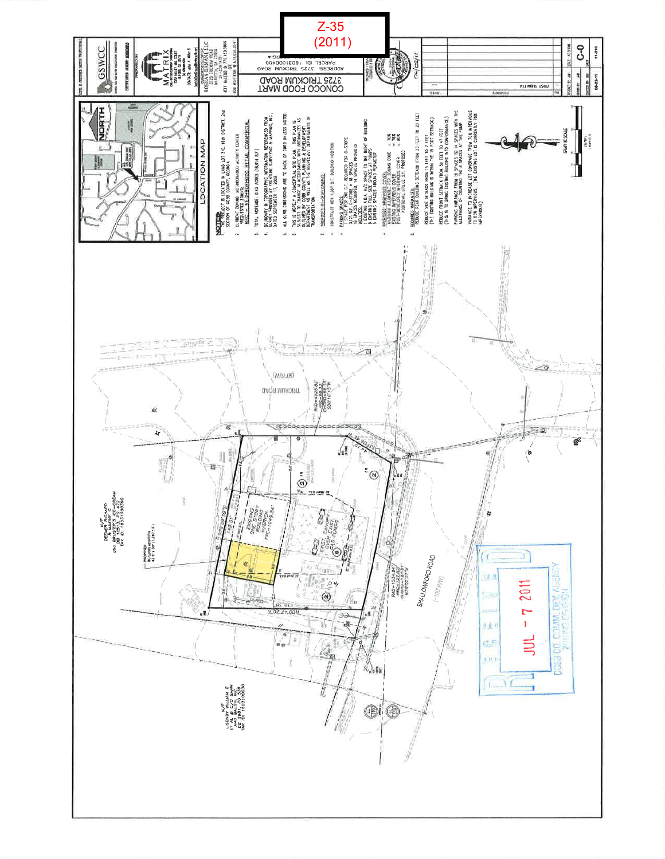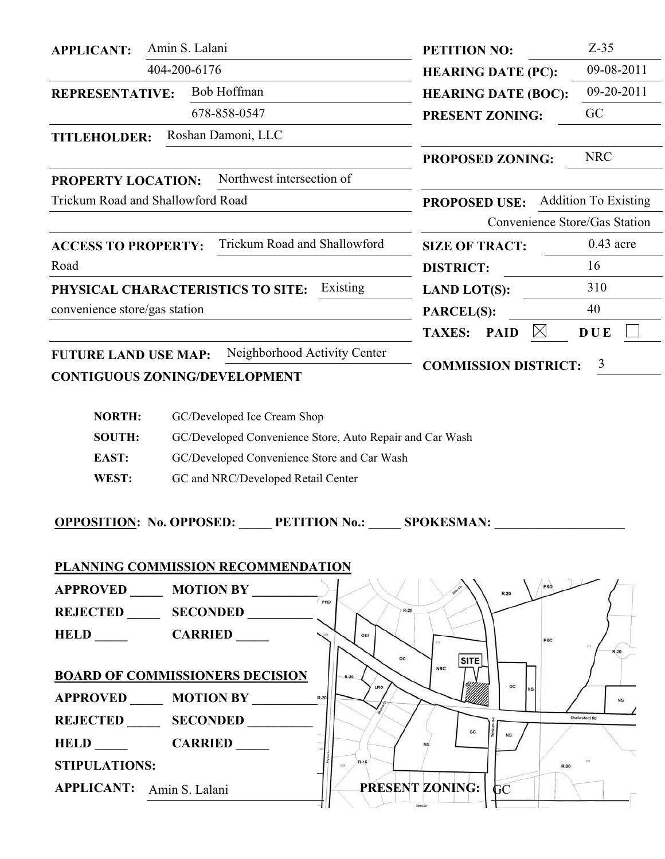| <b>APPLICANT:</b>                                           | Amin S. Lalani                                | PETITION NO:                                | $Z-35$                      |
|-------------------------------------------------------------|-----------------------------------------------|---------------------------------------------|-----------------------------|
|                                                             | 404-200-6176                                  | <b>HEARING DATE (PC):</b>                   | 09-08-2011                  |
| <b>REPRESENTATIVE:</b>                                      | Bob Hoffman                                   | <b>HEARING DATE (BOC):</b>                  | 09-20-2011                  |
|                                                             | 678-858-0547                                  | <b>PRESENT ZONING:</b>                      | GC                          |
| <b>TITLEHOLDER:</b>                                         | Roshan Damoni, LLC                            |                                             |                             |
|                                                             |                                               | <b>PROPOSED ZONING:</b>                     | <b>NRC</b>                  |
| PROPERTY LOCATION:                                          | Northwest intersection of                     |                                             |                             |
|                                                             | Trickum Road and Shallowford Road             | <b>PROPOSED USE:</b>                        | <b>Addition To Existing</b> |
|                                                             |                                               | Convenience Store/Gas Station               |                             |
| <b>ACCESS TO PROPERTY:</b>                                  | Trickum Road and Shallowford                  | <b>SIZE OF TRACT:</b>                       | $0.43$ acre                 |
| Road                                                        |                                               | <b>DISTRICT:</b>                            | 16                          |
|                                                             | Existing<br>PHYSICAL CHARACTERISTICS TO SITE: | <b>LAND LOT(S):</b>                         | 310                         |
| convenience store/gas station                               |                                               | <b>PARCEL(S):</b>                           | 40                          |
|                                                             |                                               | $\boxtimes$<br><b>TAXES:</b><br><b>PAID</b> | <b>DUE</b>                  |
| Neighborhood Activity Center<br><b>FUTURE LAND USE MAP:</b> |                                               |                                             |                             |
|                                                             | <b>CONTIGUOUS ZONING/DEVELOPMENT</b>          | <b>COMMISSION DISTRICT:</b>                 | 3                           |
|                                                             |                                               |                                             |                             |
| <b>NORTH:</b>                                               | GC/Developed Ice Cream Shop                   |                                             |                             |

| <b>SOUTH:</b> | GC/Developed Convenience Store, Auto Repair and Car Wash |
|---------------|----------------------------------------------------------|
|---------------|----------------------------------------------------------|

**EAST:** GC/Developed Convenience Store and Car Wash

WEST: GC and NRC/Developed Retail Center

**OPPOSITION:** No. OPPOSED: PETITION No.: \_\_\_\_\_\_ SPOKESMAN: \_\_\_\_\_\_\_\_\_\_\_\_\_\_\_\_\_\_\_\_\_\_

**PLANNING COMMISSION RECOMMENDATION**

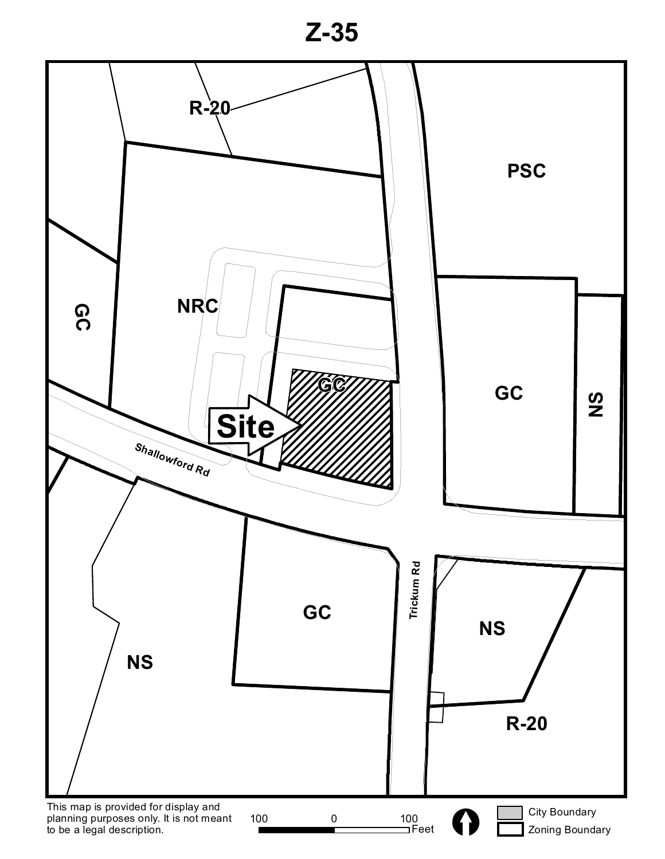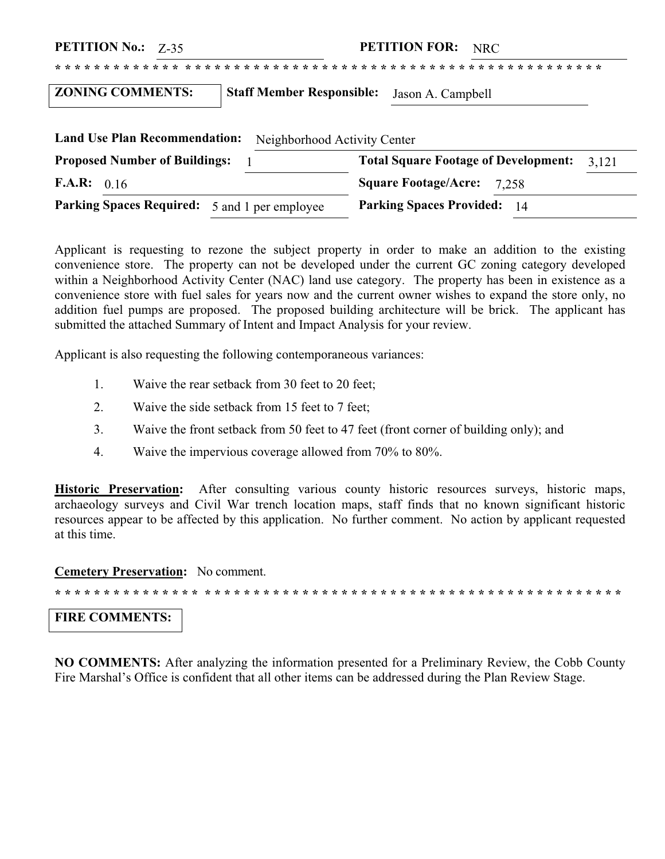**PETITION No.: Z-35** 

PETITION FOR: NRC

#### Staff Member Responsible: Jason A. Campbell **ZONING COMMENTS:**

| <b>Land Use Plan Recommendation:</b><br>Neighborhood Activity Center |                                                      |
|----------------------------------------------------------------------|------------------------------------------------------|
| <b>Proposed Number of Buildings:</b>                                 | <b>Total Square Footage of Development:</b><br>3.121 |
| <b>F.A.R:</b> $0.16$                                                 | <b>Square Footage/Acre:</b> 7.258                    |
| <b>Parking Spaces Required:</b> 5 and 1 per employee                 | <b>Parking Spaces Provided:</b> 14                   |

Applicant is requesting to rezone the subject property in order to make an addition to the existing convenience store. The property can not be developed under the current GC zoning category developed within a Neighborhood Activity Center (NAC) land use category. The property has been in existence as a convenience store with fuel sales for years now and the current owner wishes to expand the store only, no addition fuel pumps are proposed. The proposed building architecture will be brick. The applicant has submitted the attached Summary of Intent and Impact Analysis for your review.

Applicant is also requesting the following contemporaneous variances:

- $1_{-}$ Waive the rear setback from 30 feet to 20 feet;
- 2. Waive the side setback from 15 feet to 7 feet;
- $3<sub>1</sub>$ Waive the front setback from 50 feet to 47 feet (front corner of building only); and
- $\overline{4}$ . Waive the impervious coverage allowed from 70% to 80%.

Historic Preservation: After consulting various county historic resources surveys, historic maps, archaeology surveys and Civil War trench location maps, staff finds that no known significant historic resources appear to be affected by this application. No further comment. No action by applicant requested at this time.

#### **Cemetery Preservation:** No comment.

#### **FIRE COMMENTS:**

**NO COMMENTS:** After analyzing the information presented for a Preliminary Review, the Cobb County Fire Marshal's Office is confident that all other items can be addressed during the Plan Review Stage.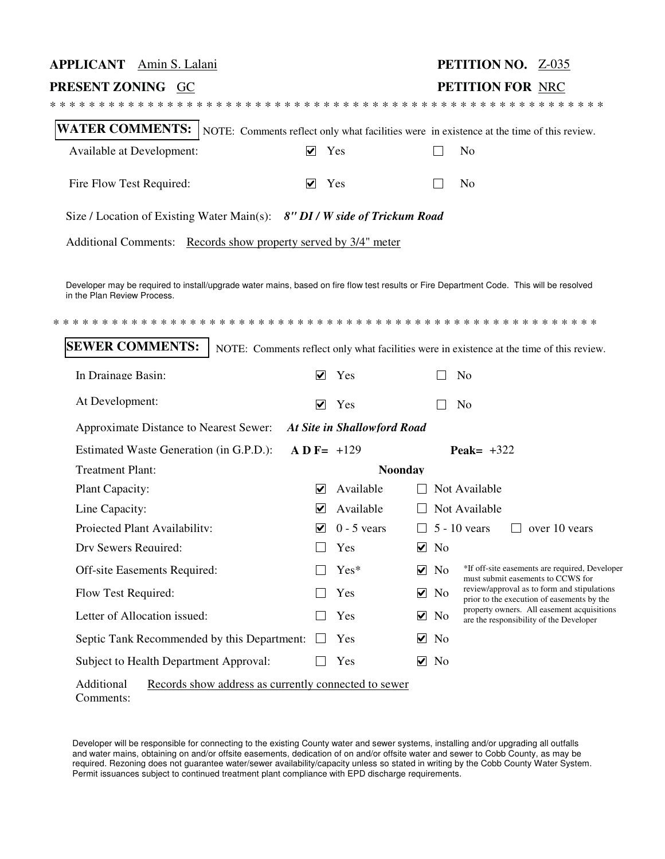### **APPLICANT** Amin S. Lalani **PETITION NO.** Z-035 **PRESENT ZONING** GC **PETITION FOR** NRC \*\*\*\*\*\*\*\*\*\*\*\*\*\*\*\*\*\*\*\*\*\*\*\*\*\*\*\*\*\*\*\*\*\*\*\*\*\*\*\*\*\*\*\*\*\*\*\*\*\*\*\*\*\*\*\*\* WATER COMMENTS: NOTE: Comments reflect only what facilities were in existence at the time of this review. Size / Location of Existing Water Main(s): *8" DI / W side of Trickum Road* Additional Comments: Records show property served by 3/4" meter Developer may be required to install/upgrade water mains, based on fire flow test results or Fire Department Code. This will be resolved in the Plan Review Process. **SEWER COMMENTS:** Available at Development:  $\blacksquare$  Yes  $\blacksquare$  No Fire Flow Test Required:  $\Box$  Yes  $\Box$  No In Drainage Basin:  $\overline{\triangledown}$  Yes  $\overline{\square}$  No At Development:  $\Box$  Yes  $\Box$  No Estimated Waste Generation (in G.P.D.): Approximate Distance to Nearest Sewer: *At Site in Shallowford Road* **A D F=** +129 **Peak=** +322 Treatment Plant: **Noonday** Plant Capacity:  $\Box$  Available  $\Box$  Not Available Line Capacity:  $\Box$  Available  $\Box$  Not Available Projected Plant Availability:  $\vee$  0 - 5 years  $\Box$  5 - 10 years  $\Box$  over 10 years Dry Sewers Required:  $\Box$  Yes  $\Box$  No Off-site Easements Required:  $\Box$  Yes\*  $\Box$  No Flow Test Required:  $\Box$  Yes  $\Box$  No Letter of Allocation issued:  $\Box$  Yes Septic Tank Recommended by this Department:  $\Box$  Yes  $\sqrt{ }$  No Subject to Health Department Approval:  $\Box$  Yes  $\Box$  No Additional Comments: Records show address as currently connected to sewer NOTE: Comments reflect only what facilities were in existence at the time of this review. \*\*\*\*\*\*\*\*\*\*\*\*\*\*\*\*\*\*\*\*\*\*\*\*\*\*\*\*\*\*\*\*\*\*\*\*\*\*\*\*\*\*\*\*\*\*\*\*\*\*\*\*\*\*\*\*  $\sqrt{ }$  No \*If off-site easements are required, Developer must submit easements to CCWS for review/approval as to form and stipulations prior to the execution of easements by the property owners. All easement acquisitions are the responsibility of the Developer

Developer will be responsible for connecting to the existing County water and sewer systems, installing and/or upgrading all outfalls and water mains, obtaining on and/or offsite easements, dedication of on and/or offsite water and sewer to Cobb County, as may be required. Rezoning does not guarantee water/sewer availability/capacity unless so stated in writing by the Cobb County Water System. Permit issuances subject to continued treatment plant compliance with EPD discharge requirements.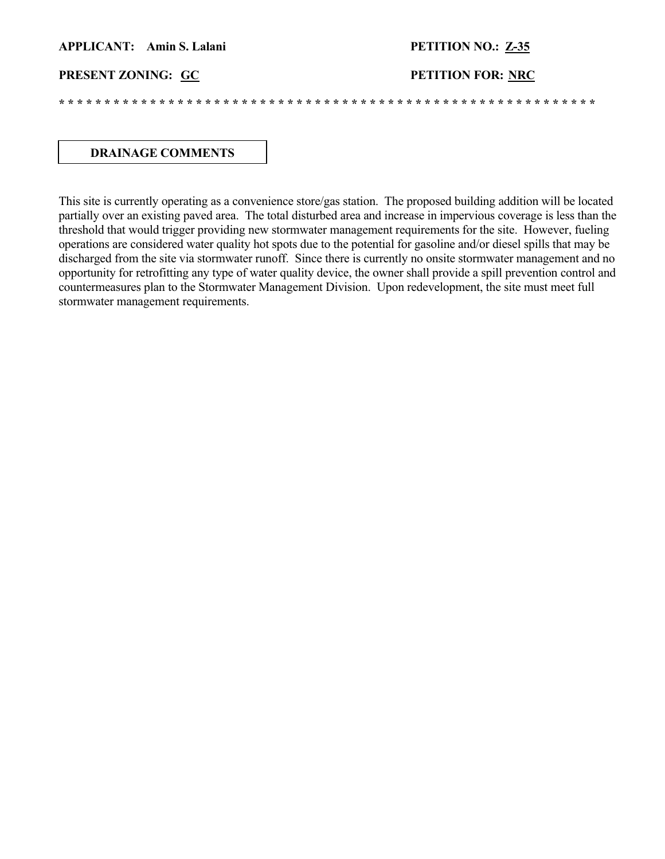#### **APPLICANT: Amin S. Lalani PETITION NO.: Z-35**

#### **PRESENT ZONING:** GC **PETITION FOR: NRC**

**\* \* \* \* \* \* \* \* \* \* \* \* \* \* \* \* \* \* \* \* \* \* \* \* \* \* \* \* \* \* \* \* \* \* \* \* \* \* \* \* \* \* \* \* \* \* \* \* \* \* \* \* \* \* \* \* \* \* \*** 

#### **DRAINAGE COMMENTS**

This site is currently operating as a convenience store/gas station. The proposed building addition will be located partially over an existing paved area. The total disturbed area and increase in impervious coverage is less than the threshold that would trigger providing new stormwater management requirements for the site. However, fueling operations are considered water quality hot spots due to the potential for gasoline and/or diesel spills that may be discharged from the site via stormwater runoff. Since there is currently no onsite stormwater management and no opportunity for retrofitting any type of water quality device, the owner shall provide a spill prevention control and countermeasures plan to the Stormwater Management Division. Upon redevelopment, the site must meet full stormwater management requirements.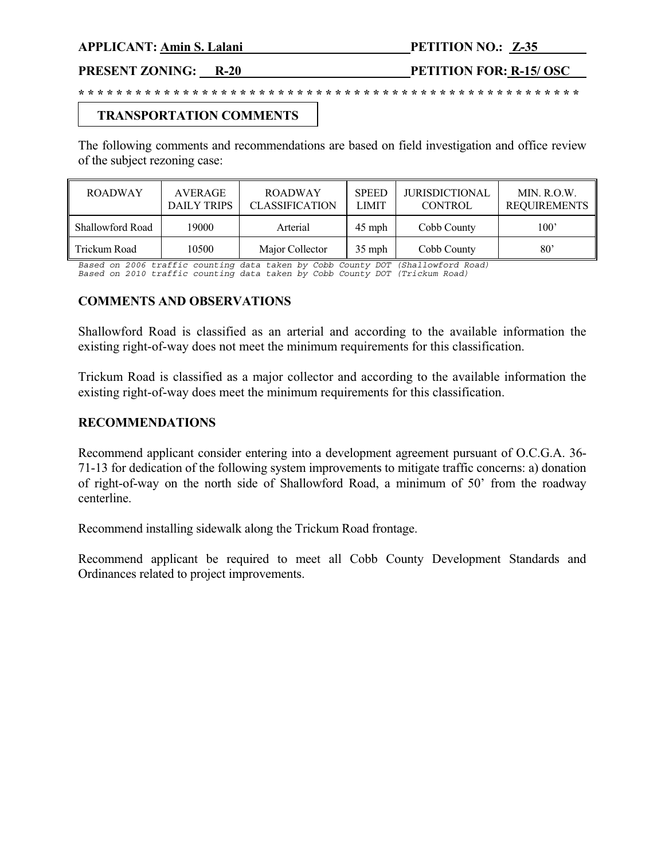**PRESENT ZONING: R-20 PETITION FOR: R-15/ OSC** 

#### **TRANSPORTATION COMMENTS**

The following comments and recommendations are based on field investigation and office review of the subject rezoning case:

**\* \* \* \* \* \* \* \* \* \* \* \* \* \* \* \* \* \* \* \* \* \* \* \* \* \* \* \* \* \* \* \* \* \* \* \* \* \* \* \* \* \* \* \* \* \* \* \* \* \* \* \* \***

| <b>ROADWAY</b>          | <b>AVERAGE</b><br>DAILY TRIPS | <b>ROADWAY</b><br><b>CLASSIFICATION</b> | <b>SPEED</b><br><b>LIMIT</b> | <b>JURISDICTIONAL</b><br><b>CONTROL</b> | MIN. R. O.W.<br><b>REQUIREMENTS</b> |
|-------------------------|-------------------------------|-----------------------------------------|------------------------------|-----------------------------------------|-------------------------------------|
| <b>Shallowford Road</b> | 19000                         | Arterial                                | $45$ mph                     | Cobb County                             | 100'                                |
| Trickum Road            | 10500                         | Major Collector                         | $35$ mph                     | Cobb County                             | $80^{\circ}$                        |

Based on 2006 traffic counting data taken by Cobb County DOT (Shallowford Road)<br>Based on 2010 traffic counting data taken by Cobb County DOT (Trickum Road)

#### **COMMENTS AND OBSERVATIONS**

Shallowford Road is classified as an arterial and according to the available information the existing right-of-way does not meet the minimum requirements for this classification.

Trickum Road is classified as a major collector and according to the available information the existing right-of-way does meet the minimum requirements for this classification.

#### **RECOMMENDATIONS**

Recommend applicant consider entering into a development agreement pursuant of O.C.G.A. 36- 71-13 for dedication of the following system improvements to mitigate traffic concerns: a) donation of right-of-way on the north side of Shallowford Road, a minimum of 50' from the roadway centerline.

Recommend installing sidewalk along the Trickum Road frontage.

Recommend applicant be required to meet all Cobb County Development Standards and Ordinances related to project improvements.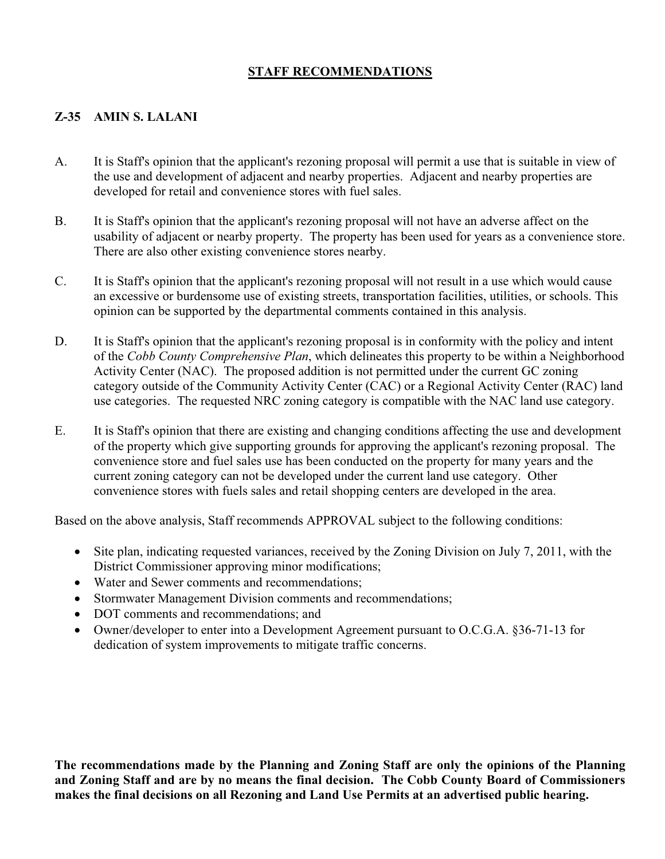#### **STAFF RECOMMENDATIONS**

#### **Z-35 AMIN S. LALANI**

- A. It is Staff's opinion that the applicant's rezoning proposal will permit a use that is suitable in view of the use and development of adjacent and nearby properties. Adjacent and nearby properties are developed for retail and convenience stores with fuel sales.
- B. It is Staff's opinion that the applicant's rezoning proposal will not have an adverse affect on the usability of adjacent or nearby property. The property has been used for years as a convenience store. There are also other existing convenience stores nearby.
- C. It is Staff's opinion that the applicant's rezoning proposal will not result in a use which would cause an excessive or burdensome use of existing streets, transportation facilities, utilities, or schools. This opinion can be supported by the departmental comments contained in this analysis.
- D. It is Staff's opinion that the applicant's rezoning proposal is in conformity with the policy and intent of the *Cobb County Comprehensive Plan*, which delineates this property to be within a Neighborhood Activity Center (NAC). The proposed addition is not permitted under the current GC zoning category outside of the Community Activity Center (CAC) or a Regional Activity Center (RAC) land use categories. The requested NRC zoning category is compatible with the NAC land use category.
- E. It is Staff's opinion that there are existing and changing conditions affecting the use and development of the property which give supporting grounds for approving the applicant's rezoning proposal. The convenience store and fuel sales use has been conducted on the property for many years and the current zoning category can not be developed under the current land use category. Other convenience stores with fuels sales and retail shopping centers are developed in the area.

Based on the above analysis, Staff recommends APPROVAL subject to the following conditions:

- Site plan, indicating requested variances, received by the Zoning Division on July 7, 2011, with the District Commissioner approving minor modifications;
- Water and Sewer comments and recommendations;
- Stormwater Management Division comments and recommendations;
- DOT comments and recommendations; and
- Owner/developer to enter into a Development Agreement pursuant to O.C.G.A. §36-71-13 for dedication of system improvements to mitigate traffic concerns.

**The recommendations made by the Planning and Zoning Staff are only the opinions of the Planning and Zoning Staff and are by no means the final decision. The Cobb County Board of Commissioners makes the final decisions on all Rezoning and Land Use Permits at an advertised public hearing.**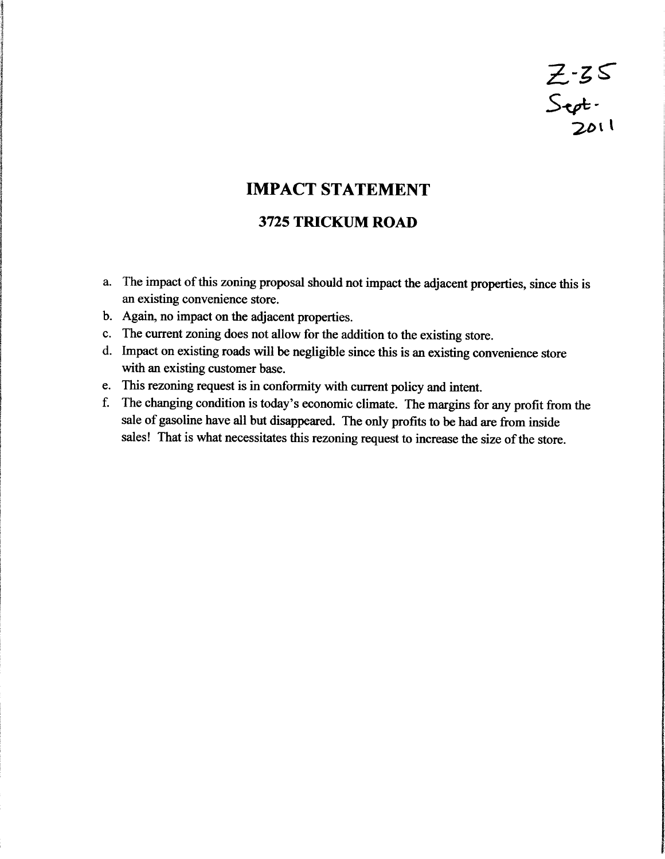## **IMPACT STATEMENT**

### 3725 TRICKUM ROAD

- a. The impact of this zoning proposal should not impact the adjacent properties, since this is an existing convenience store.
- b. Again, no impact on the adjacent properties.
- c. The current zoning does not allow for the addition to the existing store.
- d. Impact on existing roads will be negligible since this is an existing convenience store with an existing customer base.
- e. This rezoning request is in conformity with current policy and intent.
- f. The changing condition is today's economic climate. The margins for any profit from the sale of gasoline have all but disappeared. The only profits to be had are from inside sales! That is what necessitates this rezoning request to increase the size of the store.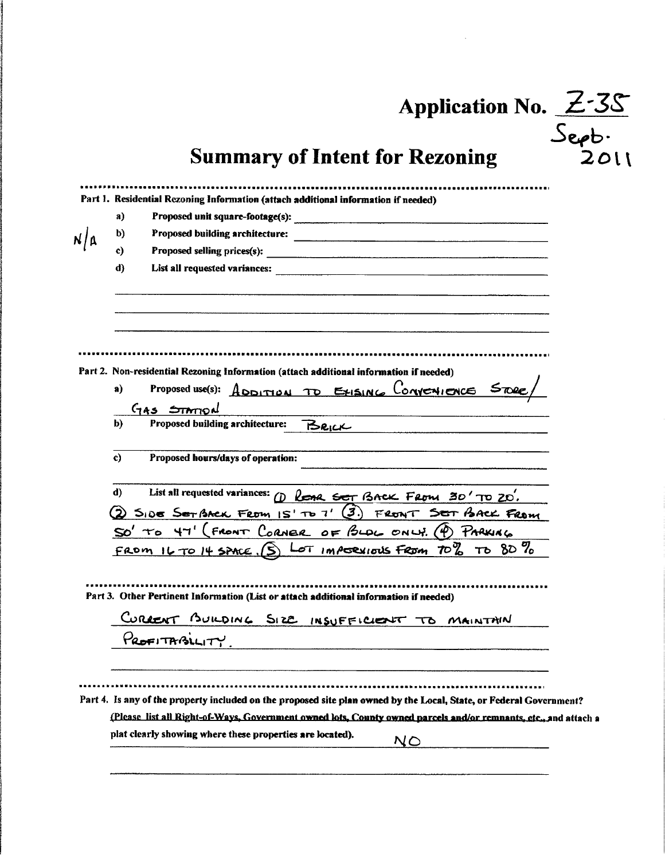Application No.  $Z-3S$ <br>r Rezoning 2011

# **Summary of Intent for Rezoning**

|     | a) | Proposed unit square-footage(s):                                                                                                                                                                                                      |
|-----|----|---------------------------------------------------------------------------------------------------------------------------------------------------------------------------------------------------------------------------------------|
| n/a | b) | Proposed building architecture:                                                                                                                                                                                                       |
|     | c) |                                                                                                                                                                                                                                       |
|     | d) | List all requested variances:<br><u> and</u> the contract of the contract of the contract of the contract of the contract of the contract of the contract of the contract of the contract of the contract of the contract of the cont |
|     |    |                                                                                                                                                                                                                                       |
|     |    | Part 2. Non-residential Rezoning Information (attach additional information if needed)                                                                                                                                                |
|     | a) | Proposed use(s): ADDITION TO EXISING CONVENIENCE STORE                                                                                                                                                                                |
|     |    | $G$ AS $Sm$ rond                                                                                                                                                                                                                      |
|     | b) | Proposed building architecture:<br>BRICK                                                                                                                                                                                              |
|     | c) | Proposed hours/days of operation:                                                                                                                                                                                                     |
|     | d) | List all requested variances: (D REAR SET BACK FROM 30'TO 20'.                                                                                                                                                                        |
|     |    | 2) SIDE SETBACK FROM IS' TO 7' (3) FRONT SET BACK FROM<br>SO' TO 47' (FRONT CORNER OF BLOC ONLY. (4) PARKING                                                                                                                          |
|     |    |                                                                                                                                                                                                                                       |
|     |    | FROM IL TO 14 SPACE. (S) LOT IMPORXIOUS FROM TO 2 TO 80 %                                                                                                                                                                             |
|     |    |                                                                                                                                                                                                                                       |
|     |    | Part 3. Other Pertinent Information (List or attach additional information if needed)                                                                                                                                                 |
|     |    | WREAT BUILDING SIZE INSUFFICIENT TO MAINTAIN                                                                                                                                                                                          |
|     |    |                                                                                                                                                                                                                                       |
|     |    | $P_{\text{ROFITRBILITY}}$                                                                                                                                                                                                             |